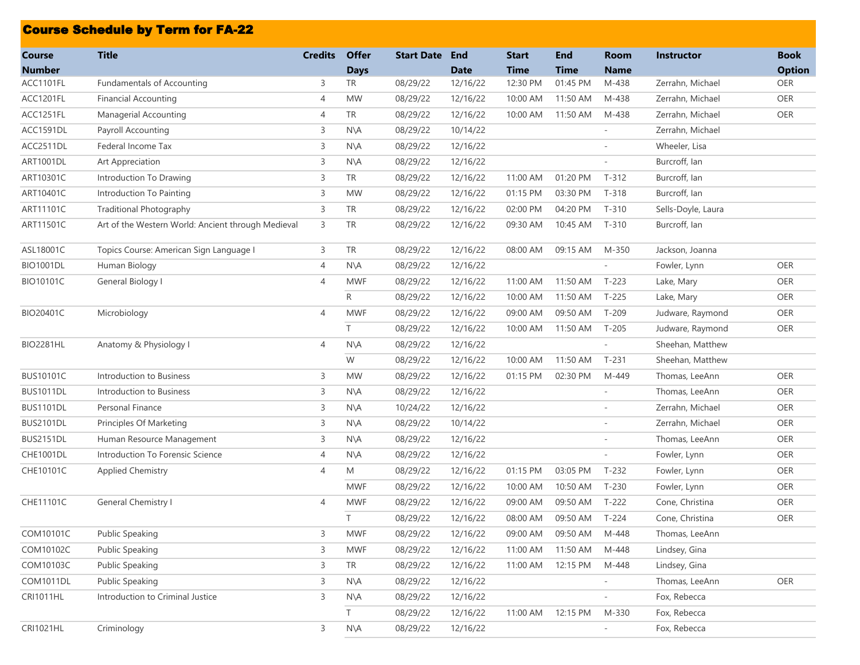|                                | <b>Course Schedule by Term for FA-22</b>           |                |                             |                   |                           |                             |                           |                            |                    |                              |
|--------------------------------|----------------------------------------------------|----------------|-----------------------------|-------------------|---------------------------|-----------------------------|---------------------------|----------------------------|--------------------|------------------------------|
| <b>Course</b><br><b>Number</b> | <b>Title</b>                                       | <b>Credits</b> | <b>Offer</b><br><b>Days</b> | <b>Start Date</b> | <b>End</b><br><b>Date</b> | <b>Start</b><br><b>Time</b> | <b>End</b><br><b>Time</b> | <b>Room</b><br><b>Name</b> | <b>Instructor</b>  | <b>Book</b><br><b>Option</b> |
| ACC1101FL                      | <b>Fundamentals of Accounting</b>                  | 3              | TR                          | 08/29/22          | 12/16/22                  | 12:30 PM                    | 01:45 PM                  | M-438                      | Zerrahn, Michael   | OER                          |
| ACC1201FL                      | <b>Financial Accounting</b>                        | 4              | <b>MW</b>                   | 08/29/22          | 12/16/22                  | 10:00 AM                    | 11:50 AM                  | M-438                      | Zerrahn, Michael   | OER                          |
| ACC1251FL                      | Managerial Accounting                              | 4              | <b>TR</b>                   | 08/29/22          | 12/16/22                  | 10:00 AM                    | 11:50 AM                  | M-438                      | Zerrahn, Michael   | OER                          |
| ACC1591DL                      | Payroll Accounting                                 | 3              | $N\setminus A$              | 08/29/22          | 10/14/22                  |                             |                           |                            | Zerrahn, Michael   |                              |
| ACC2511DL                      | Federal Income Tax                                 | 3              | $N\setminus A$              | 08/29/22          | 12/16/22                  |                             |                           |                            | Wheeler, Lisa      |                              |
| <b>ART1001DL</b>               | Art Appreciation                                   | 3              | $N\setminus A$              | 08/29/22          | 12/16/22                  |                             |                           | $\overline{\phantom{a}}$   | Burcroff, lan      |                              |
| ART10301C                      | Introduction To Drawing                            | 3              | <b>TR</b>                   | 08/29/22          | 12/16/22                  | 11:00 AM                    | 01:20 PM                  | $T-312$                    | Burcroff, Ian      |                              |
| ART10401C                      | Introduction To Painting                           | 3              | <b>MW</b>                   | 08/29/22          | 12/16/22                  | 01:15 PM                    | 03:30 PM                  | $T-318$                    | Burcroff, Ian      |                              |
| ART11101C                      | <b>Traditional Photography</b>                     | 3              | TR                          | 08/29/22          | 12/16/22                  | 02:00 PM                    | 04:20 PM                  | $T-310$                    | Sells-Doyle, Laura |                              |
| ART11501C                      | Art of the Western World: Ancient through Medieval | 3              | <b>TR</b>                   | 08/29/22          | 12/16/22                  | 09:30 AM                    | 10:45 AM                  | $T-310$                    | Burcroff, lan      |                              |
| ASL18001C                      | Topics Course: American Sign Language I            | 3              | <b>TR</b>                   | 08/29/22          | 12/16/22                  | 08:00 AM                    | 09:15 AM                  | M-350                      | Jackson, Joanna    |                              |
| <b>BIO1001DL</b>               | Human Biology                                      | 4              | $N\setminus A$              | 08/29/22          | 12/16/22                  |                             |                           |                            | Fowler, Lynn       | OER                          |
| <b>BIO10101C</b>               | General Biology I                                  | 4              | <b>MWF</b>                  | 08/29/22          | 12/16/22                  | 11:00 AM                    | 11:50 AM                  | T-223                      | Lake, Mary         | <b>OER</b>                   |
|                                |                                                    |                | R                           | 08/29/22          | 12/16/22                  | 10:00 AM                    | 11:50 AM                  | $T-225$                    | Lake, Mary         | <b>OER</b>                   |
| BIO20401C                      | Microbiology                                       | 4              | <b>MWF</b>                  | 08/29/22          | 12/16/22                  | 09:00 AM                    | 09:50 AM                  | $T-209$                    | Judware, Raymond   | OER                          |
|                                |                                                    |                | $\top$                      | 08/29/22          | 12/16/22                  | 10:00 AM                    | 11:50 AM                  | T-205                      | Judware, Raymond   | OER                          |
| <b>BIO2281HL</b>               | Anatomy & Physiology I                             | 4              | N\A                         | 08/29/22          | 12/16/22                  |                             |                           | ä,                         | Sheehan, Matthew   |                              |
|                                |                                                    |                | W                           | 08/29/22          | 12/16/22                  | 10:00 AM                    | 11:50 AM                  | $T-231$                    | Sheehan, Matthew   |                              |
| <b>BUS10101C</b>               | Introduction to Business                           | 3              | <b>MW</b>                   | 08/29/22          | 12/16/22                  | 01:15 PM                    | 02:30 PM                  | M-449                      | Thomas, LeeAnn     | OER                          |
| <b>BUS1011DL</b>               | Introduction to Business                           | 3              | N\A                         | 08/29/22          | 12/16/22                  |                             |                           |                            | Thomas, LeeAnn     | OER                          |
| <b>BUS1101DL</b>               | Personal Finance                                   | 3              | $N\setminus A$              | 10/24/22          | 12/16/22                  |                             |                           |                            | Zerrahn, Michael   | <b>OER</b>                   |
| <b>BUS2101DL</b>               | Principles Of Marketing                            | 3              | $N\setminus A$              | 08/29/22          | 10/14/22                  |                             |                           | $\overline{a}$             | Zerrahn, Michael   | OER                          |
| <b>BUS2151DL</b>               | Human Resource Management                          | 3              | N\A                         | 08/29/22          | 12/16/22                  |                             |                           |                            | Thomas, LeeAnn     | OER                          |
| <b>CHE1001DL</b>               | Introduction To Forensic Science                   | 4              | N\A                         | 08/29/22          | 12/16/22                  |                             |                           |                            | Fowler, Lynn       | OER                          |
| CHE10101C                      | Applied Chemistry                                  | 4              | M                           | 08/29/22          | 12/16/22                  | 01:15 PM                    | 03:05 PM                  | $T-232$                    | Fowler, Lynn       | OER                          |
|                                |                                                    |                | <b>MWF</b>                  | 08/29/22          | 12/16/22                  | 10:00 AM                    | 10:50 AM                  | T-230                      | Fowler, Lynn       | <b>OER</b>                   |
| <b>CHE11101C</b>               | General Chemistry I                                | 4              | <b>MWF</b>                  | 08/29/22          | 12/16/22                  | 09:00 AM                    | 09:50 AM                  | T-222                      | Cone, Christina    | <b>OER</b>                   |
|                                |                                                    |                | $\top$                      | 08/29/22          | 12/16/22                  | 08:00 AM                    | 09:50 AM                  | T-224                      | Cone, Christina    | OER                          |
| COM10101C                      | <b>Public Speaking</b>                             | 3              | <b>MWF</b>                  | 08/29/22          | 12/16/22                  | 09:00 AM                    | 09:50 AM                  | M-448                      | Thomas, LeeAnn     |                              |
| COM10102C                      | <b>Public Speaking</b>                             | 3              | <b>MWF</b>                  | 08/29/22          | 12/16/22                  | 11:00 AM                    | 11:50 AM                  | M-448                      | Lindsey, Gina      |                              |
| COM10103C                      | <b>Public Speaking</b>                             | 3              | TR                          | 08/29/22          | 12/16/22                  | 11:00 AM                    | 12:15 PM                  | M-448                      | Lindsey, Gina      |                              |
| <b>COM1011DL</b>               | <b>Public Speaking</b>                             | 3              | $N\setminus A$              | 08/29/22          | 12/16/22                  |                             |                           |                            | Thomas, LeeAnn     | OER                          |
| <b>CRI1011HL</b>               | Introduction to Criminal Justice                   | 3              | $N\setminus A$              | 08/29/22          | 12/16/22                  |                             |                           |                            | Fox, Rebecca       |                              |
|                                |                                                    |                | T.                          | 08/29/22          | 12/16/22                  | 11:00 AM                    | 12:15 PM                  | M-330                      | Fox, Rebecca       |                              |
| CRI1021HL                      | Criminology                                        | 3              | $N\setminus A$              | 08/29/22          | 12/16/22                  |                             |                           |                            | Fox, Rebecca       |                              |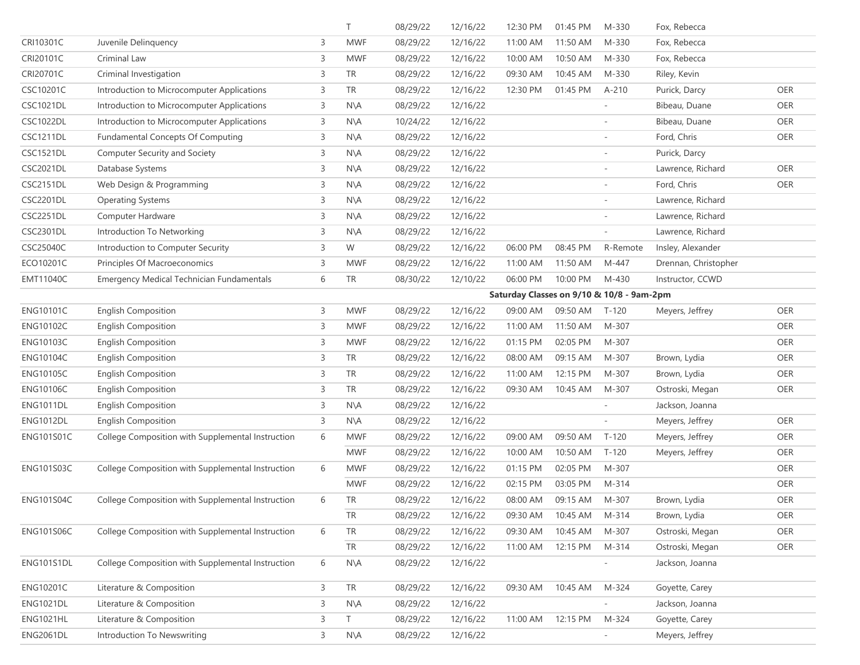|                   |                                                   |   | T.             | 08/29/22 | 12/16/22                                  | 12:30 PM | 01:45 PM | M-330                    | Fox, Rebecca         |            |  |  |  |
|-------------------|---------------------------------------------------|---|----------------|----------|-------------------------------------------|----------|----------|--------------------------|----------------------|------------|--|--|--|
| CRI10301C         | Juvenile Delinquency                              | 3 | <b>MWF</b>     | 08/29/22 | 12/16/22                                  | 11:00 AM | 11:50 AM | M-330                    | Fox, Rebecca         |            |  |  |  |
| CRI20101C         | Criminal Law                                      | 3 | <b>MWF</b>     | 08/29/22 | 12/16/22                                  | 10:00 AM | 10:50 AM | M-330                    | Fox, Rebecca         |            |  |  |  |
| CRI20701C         | Criminal Investigation                            | 3 | <b>TR</b>      | 08/29/22 | 12/16/22                                  | 09:30 AM | 10:45 AM | M-330                    | Riley, Kevin         |            |  |  |  |
| CSC10201C         | Introduction to Microcomputer Applications        | 3 | <b>TR</b>      | 08/29/22 | 12/16/22                                  | 12:30 PM | 01:45 PM | $A-210$                  | Purick, Darcy        | OER        |  |  |  |
| <b>CSC1021DL</b>  | Introduction to Microcomputer Applications        | 3 | $N\setminus A$ | 08/29/22 | 12/16/22                                  |          |          |                          | Bibeau, Duane        | <b>OER</b> |  |  |  |
| <b>CSC1022DL</b>  | Introduction to Microcomputer Applications        | 3 | $N\setminus A$ | 10/24/22 | 12/16/22                                  |          |          | $\overline{\phantom{a}}$ | Bibeau, Duane        | OER        |  |  |  |
| <b>CSC1211DL</b>  | <b>Fundamental Concepts Of Computing</b>          | 3 | $N\setminus A$ | 08/29/22 | 12/16/22                                  |          |          |                          | Ford, Chris          | OER        |  |  |  |
| <b>CSC1521DL</b>  | Computer Security and Society                     | 3 | N\A            | 08/29/22 | 12/16/22                                  |          |          |                          | Purick, Darcy        |            |  |  |  |
| <b>CSC2021DL</b>  | Database Systems                                  | 3 | $N\setminus A$ | 08/29/22 | 12/16/22                                  |          |          |                          | Lawrence, Richard    | OER        |  |  |  |
| CSC2151DL         | Web Design & Programming                          | 3 | $N\setminus A$ | 08/29/22 | 12/16/22                                  |          |          |                          | Ford, Chris          | OER        |  |  |  |
| <b>CSC2201DL</b>  | <b>Operating Systems</b>                          | 3 | $N\setminus A$ | 08/29/22 | 12/16/22                                  |          |          | $\overline{\phantom{a}}$ | Lawrence, Richard    |            |  |  |  |
| <b>CSC2251DL</b>  | Computer Hardware                                 | 3 | $N\setminus A$ | 08/29/22 | 12/16/22                                  |          |          |                          | Lawrence, Richard    |            |  |  |  |
| <b>CSC2301DL</b>  | Introduction To Networking                        | 3 | $N\setminus A$ | 08/29/22 | 12/16/22                                  |          |          | $\overline{\phantom{a}}$ | Lawrence, Richard    |            |  |  |  |
| CSC25040C         | Introduction to Computer Security                 | 3 | W              | 08/29/22 | 12/16/22                                  | 06:00 PM | 08:45 PM | R-Remote                 | Insley, Alexander    |            |  |  |  |
| ECO10201C         | Principles Of Macroeconomics                      | 3 | <b>MWF</b>     | 08/29/22 | 12/16/22                                  | 11:00 AM | 11:50 AM | M-447                    | Drennan, Christopher |            |  |  |  |
| EMT11040C         | <b>Emergency Medical Technician Fundamentals</b>  | 6 | TR             | 08/30/22 | 12/10/22                                  | 06:00 PM | 10:00 PM | M-430                    | Instructor, CCWD     |            |  |  |  |
|                   |                                                   |   |                |          | Saturday Classes on 9/10 & 10/8 - 9am-2pm |          |          |                          |                      |            |  |  |  |
| <b>ENG10101C</b>  | <b>English Composition</b>                        | 3 | <b>MWF</b>     | 08/29/22 | 12/16/22                                  | 09:00 AM | 09:50 AM | $T-120$                  | Meyers, Jeffrey      | OER        |  |  |  |
| <b>ENG10102C</b>  | <b>English Composition</b>                        | 3 | <b>MWF</b>     | 08/29/22 | 12/16/22                                  | 11:00 AM | 11:50 AM | M-307                    |                      | OER        |  |  |  |
| <b>ENG10103C</b>  | <b>English Composition</b>                        | 3 | <b>MWF</b>     | 08/29/22 | 12/16/22                                  | 01:15 PM | 02:05 PM | M-307                    |                      | OER        |  |  |  |
| <b>ENG10104C</b>  | <b>English Composition</b>                        | 3 | TR             | 08/29/22 | 12/16/22                                  | 08:00 AM | 09:15 AM | M-307                    | Brown, Lydia         | OER        |  |  |  |
| <b>ENG10105C</b>  | <b>English Composition</b>                        | 3 | <b>TR</b>      | 08/29/22 | 12/16/22                                  | 11:00 AM | 12:15 PM | M-307                    | Brown, Lydia         | OER        |  |  |  |
| <b>ENG10106C</b>  | <b>English Composition</b>                        | 3 | <b>TR</b>      | 08/29/22 | 12/16/22                                  | 09:30 AM | 10:45 AM | M-307                    | Ostroski, Megan      | OER        |  |  |  |
| <b>ENG1011DL</b>  | <b>English Composition</b>                        | 3 | $N\setminus A$ | 08/29/22 | 12/16/22                                  |          |          |                          | Jackson, Joanna      |            |  |  |  |
| <b>ENG1012DL</b>  | <b>English Composition</b>                        | 3 | $N\setminus A$ | 08/29/22 | 12/16/22                                  |          |          |                          | Meyers, Jeffrey      | OER        |  |  |  |
| <b>ENG101S01C</b> | College Composition with Supplemental Instruction | 6 | <b>MWF</b>     | 08/29/22 | 12/16/22                                  | 09:00 AM | 09:50 AM | $T-120$                  | Meyers, Jeffrey      | OER        |  |  |  |
|                   |                                                   |   | <b>MWF</b>     | 08/29/22 | 12/16/22                                  | 10:00 AM | 10:50 AM | $T-120$                  | Meyers, Jeffrey      | OER        |  |  |  |
| <b>ENG101S03C</b> | College Composition with Supplemental Instruction | 6 | <b>MWF</b>     | 08/29/22 | 12/16/22                                  | 01:15 PM | 02:05 PM | M-307                    |                      | OER        |  |  |  |
|                   |                                                   |   | <b>MWF</b>     | 08/29/22 | 12/16/22                                  | 02:15 PM | 03:05 PM | M-314                    |                      | OER        |  |  |  |
| <b>ENG101S04C</b> | College Composition with Supplemental Instruction | 6 | <b>TR</b>      | 08/29/22 | 12/16/22                                  | 08:00 AM | 09:15 AM | M-307                    | Brown, Lydia         | OER        |  |  |  |
|                   |                                                   |   | <b>TR</b>      | 08/29/22 | 12/16/22                                  | 09:30 AM | 10:45 AM | M-314                    | Brown, Lydia         | OER        |  |  |  |
| <b>ENG101S06C</b> | College Composition with Supplemental Instruction | 6 | ${\sf TR}$     | 08/29/22 | 12/16/22                                  | 09:30 AM | 10:45 AM | M-307                    | Ostroski, Megan      | OER        |  |  |  |
|                   |                                                   |   | TR             | 08/29/22 | 12/16/22                                  | 11:00 AM | 12:15 PM | M-314                    | Ostroski, Megan      | OER        |  |  |  |
| ENG101S1DL        | College Composition with Supplemental Instruction | 6 | N\A            | 08/29/22 | 12/16/22                                  |          |          |                          | Jackson, Joanna      |            |  |  |  |
| <b>ENG10201C</b>  | Literature & Composition                          | 3 | TR             | 08/29/22 | 12/16/22                                  | 09:30 AM | 10:45 AM | M-324                    | Goyette, Carey       |            |  |  |  |
| <b>ENG1021DL</b>  | Literature & Composition                          | 3 | N\A            | 08/29/22 | 12/16/22                                  |          |          |                          | Jackson, Joanna      |            |  |  |  |
| <b>ENG1021HL</b>  | Literature & Composition                          | 3 | Τ              | 08/29/22 | 12/16/22                                  | 11:00 AM | 12:15 PM | M-324                    | Goyette, Carey       |            |  |  |  |
| <b>ENG2061DL</b>  | Introduction To Newswriting                       | 3 | $N\setminus A$ | 08/29/22 | 12/16/22                                  |          |          |                          | Meyers, Jeffrey      |            |  |  |  |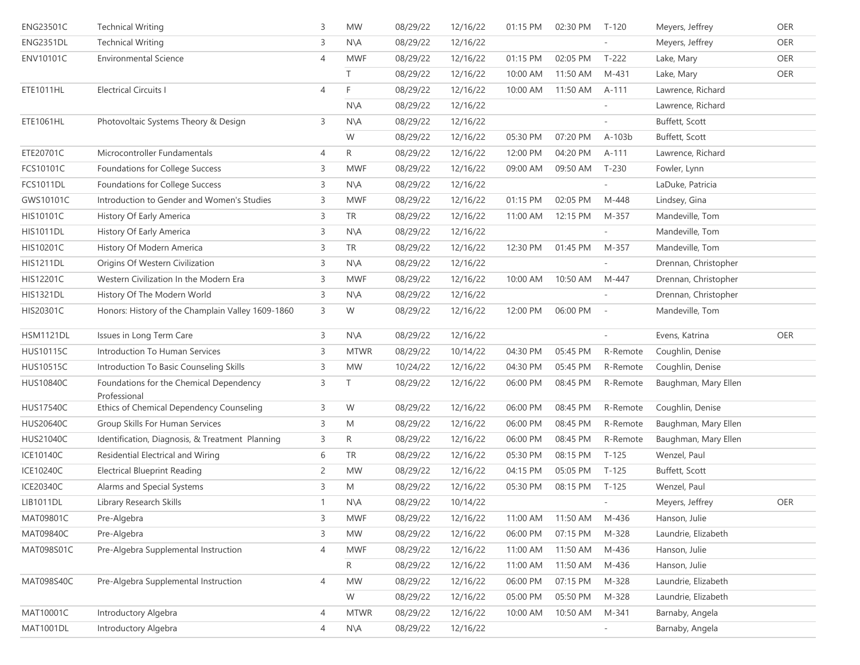| ENG23501C        | <b>Technical Writing</b>                                | 3            | <b>MW</b>      | 08/29/22 | 12/16/22 | 01:15 PM | 02:30 PM | $T-120$                  | Meyers, Jeffrey      | OER |
|------------------|---------------------------------------------------------|--------------|----------------|----------|----------|----------|----------|--------------------------|----------------------|-----|
| <b>ENG2351DL</b> | <b>Technical Writing</b>                                | 3            | $N\setminus A$ | 08/29/22 | 12/16/22 |          |          |                          | Meyers, Jeffrey      | OER |
| <b>ENV10101C</b> | <b>Environmental Science</b>                            | 4            | <b>MWF</b>     | 08/29/22 | 12/16/22 | 01:15 PM | 02:05 PM | $T-222$                  | Lake, Mary           | OER |
|                  |                                                         |              | T.             | 08/29/22 | 12/16/22 | 10:00 AM | 11:50 AM | M-431                    | Lake, Mary           | OER |
| ETE1011HL        | <b>Electrical Circuits I</b>                            | 4            | F              | 08/29/22 | 12/16/22 | 10:00 AM | 11:50 AM | A-111                    | Lawrence, Richard    |     |
|                  |                                                         |              | N\A            | 08/29/22 | 12/16/22 |          |          |                          | Lawrence, Richard    |     |
| ETE1061HL        | Photovoltaic Systems Theory & Design                    | 3            | $N\setminus A$ | 08/29/22 | 12/16/22 |          |          |                          | Buffett, Scott       |     |
|                  |                                                         |              | W              | 08/29/22 | 12/16/22 | 05:30 PM | 07:20 PM | A-103b                   | Buffett, Scott       |     |
| ETE20701C        | Microcontroller Fundamentals                            | 4            | R              | 08/29/22 | 12/16/22 | 12:00 PM | 04:20 PM | A-111                    | Lawrence, Richard    |     |
| FCS10101C        | Foundations for College Success                         | 3            | <b>MWF</b>     | 08/29/22 | 12/16/22 | 09:00 AM | 09:50 AM | $T-230$                  | Fowler, Lynn         |     |
| <b>FCS1011DL</b> | Foundations for College Success                         | 3            | $N\setminus A$ | 08/29/22 | 12/16/22 |          |          |                          | LaDuke, Patricia     |     |
| GWS10101C        | Introduction to Gender and Women's Studies              | 3            | <b>MWF</b>     | 08/29/22 | 12/16/22 | 01:15 PM | 02:05 PM | M-448                    | Lindsey, Gina        |     |
| HIS10101C        | History Of Early America                                | 3            | <b>TR</b>      | 08/29/22 | 12/16/22 | 11:00 AM | 12:15 PM | M-357                    | Mandeville, Tom      |     |
| <b>HIS1011DL</b> | History Of Early America                                | 3            | $N\setminus A$ | 08/29/22 | 12/16/22 |          |          |                          | Mandeville, Tom      |     |
| <b>HIS10201C</b> | History Of Modern America                               | 3            | <b>TR</b>      | 08/29/22 | 12/16/22 | 12:30 PM | 01:45 PM | M-357                    | Mandeville, Tom      |     |
| <b>HIS1211DL</b> | Origins Of Western Civilization                         | 3            | $N\setminus A$ | 08/29/22 | 12/16/22 |          |          |                          | Drennan, Christopher |     |
| HIS12201C        | Western Civilization In the Modern Era                  | 3            | <b>MWF</b>     | 08/29/22 | 12/16/22 | 10:00 AM | 10:50 AM | M-447                    | Drennan, Christopher |     |
| <b>HIS1321DL</b> | History Of The Modern World                             | 3            | $N\setminus A$ | 08/29/22 | 12/16/22 |          |          |                          | Drennan, Christopher |     |
| HIS20301C        | Honors: History of the Champlain Valley 1609-1860       | 3            | W              | 08/29/22 | 12/16/22 | 12:00 PM | 06:00 PM | $\sim$                   | Mandeville, Tom      |     |
| <b>HSM1121DL</b> | Issues in Long Term Care                                | 3            | $N\setminus A$ | 08/29/22 | 12/16/22 |          |          |                          | Evens, Katrina       | OER |
| HUS10115C        | Introduction To Human Services                          | 3            | <b>MTWR</b>    | 08/29/22 | 10/14/22 | 04:30 PM | 05:45 PM | R-Remote                 | Coughlin, Denise     |     |
| HUS10515C        | Introduction To Basic Counseling Skills                 | 3            | <b>MW</b>      | 10/24/22 | 12/16/22 | 04:30 PM | 05:45 PM | R-Remote                 | Coughlin, Denise     |     |
| <b>HUS10840C</b> | Foundations for the Chemical Dependency<br>Professional | 3            |                | 08/29/22 | 12/16/22 | 06:00 PM | 08:45 PM | R-Remote                 | Baughman, Mary Ellen |     |
| <b>HUS17540C</b> | Ethics of Chemical Dependency Counseling                | 3            | W              | 08/29/22 | 12/16/22 | 06:00 PM | 08:45 PM | R-Remote                 | Coughlin, Denise     |     |
| HUS20640C        | Group Skills For Human Services                         | 3            | M              | 08/29/22 | 12/16/22 | 06:00 PM | 08:45 PM | R-Remote                 | Baughman, Mary Ellen |     |
| HUS21040C        | Identification, Diagnosis, & Treatment Planning         | 3            | R              | 08/29/22 | 12/16/22 | 06:00 PM | 08:45 PM | R-Remote                 | Baughman, Mary Ellen |     |
| ICE10140C        | Residential Electrical and Wiring                       | 6            | <b>TR</b>      | 08/29/22 | 12/16/22 | 05:30 PM | 08:15 PM | $T-125$                  | Wenzel, Paul         |     |
| <b>ICE10240C</b> | <b>Electrical Blueprint Reading</b>                     | 2            | <b>MW</b>      | 08/29/22 | 12/16/22 | 04:15 PM | 05:05 PM | $T-125$                  | Buffett, Scott       |     |
| ICE20340C        | Alarms and Special Systems                              | 3            | M              | 08/29/22 | 12/16/22 | 05:30 PM | 08:15 PM | $T-125$                  | Wenzel, Paul         |     |
| LIB1011DL        | Library Research Skills                                 | $\mathbf{1}$ | N\A            | 08/29/22 | 10/14/22 |          |          |                          | Meyers, Jeffrey      | OER |
| MAT09801C        | Pre-Algebra                                             | 3            | <b>MWF</b>     | 08/29/22 | 12/16/22 | 11:00 AM | 11:50 AM | M-436                    | Hanson, Julie        |     |
| MAT09840C        | Pre-Algebra                                             | 3            | <b>MW</b>      | 08/29/22 | 12/16/22 | 06:00 PM | 07:15 PM | M-328                    | Laundrie, Elizabeth  |     |
| MAT098S01C       | Pre-Algebra Supplemental Instruction                    | 4            | <b>MWF</b>     | 08/29/22 | 12/16/22 | 11:00 AM | 11:50 AM | M-436                    | Hanson, Julie        |     |
|                  |                                                         |              | R              | 08/29/22 | 12/16/22 | 11:00 AM | 11:50 AM | M-436                    | Hanson, Julie        |     |
| MAT098S40C       | Pre-Algebra Supplemental Instruction                    | 4            | <b>MW</b>      | 08/29/22 | 12/16/22 | 06:00 PM | 07:15 PM | M-328                    | Laundrie, Elizabeth  |     |
|                  |                                                         |              | W              | 08/29/22 | 12/16/22 | 05:00 PM | 05:50 PM | M-328                    | Laundrie, Elizabeth  |     |
| MAT10001C        | Introductory Algebra                                    | 4            | <b>MTWR</b>    | 08/29/22 | 12/16/22 | 10:00 AM | 10:50 AM | M-341                    | Barnaby, Angela      |     |
| <b>MAT1001DL</b> | Introductory Algebra                                    | 4            | $N\setminus A$ | 08/29/22 | 12/16/22 |          |          | $\overline{\phantom{a}}$ | Barnaby, Angela      |     |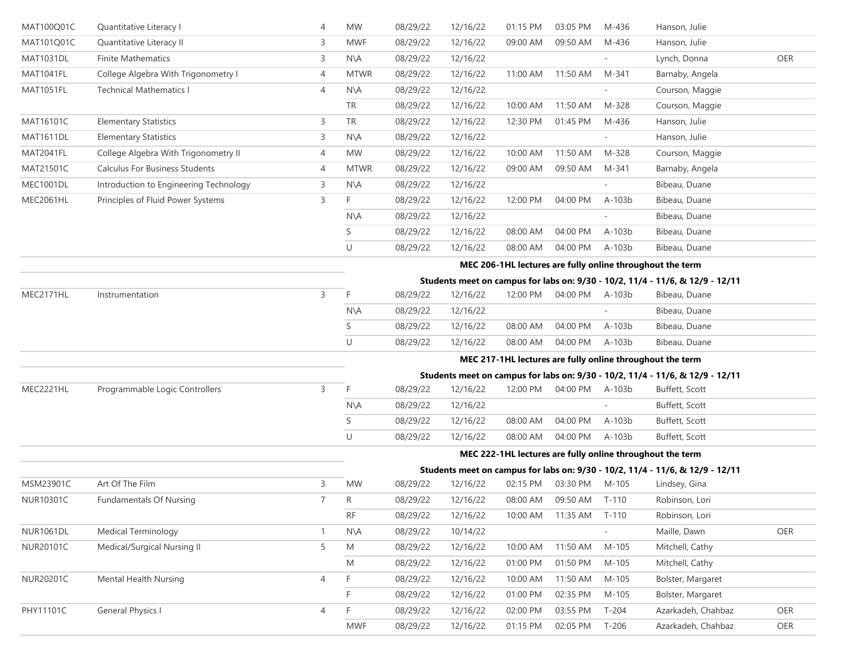| MAT100Q01C       | Quantitative Literacy I                | 4              | <b>MW</b>                                                 | 08/29/22                                                  | 12/16/22 | 01:15 PM | 03:05 PM       | M-436   | Hanson, Julie                                                                 |     |  |  |  |  |  |
|------------------|----------------------------------------|----------------|-----------------------------------------------------------|-----------------------------------------------------------|----------|----------|----------------|---------|-------------------------------------------------------------------------------|-----|--|--|--|--|--|
| MAT101Q01C       | Quantitative Literacy II               | 3              | <b>MWF</b>                                                | 08/29/22                                                  | 12/16/22 | 09:00 AM | 09:50 AM       | M-436   | Hanson, Julie                                                                 |     |  |  |  |  |  |
| <b>MAT1031DL</b> | <b>Finite Mathematics</b>              | 3              | N\A                                                       | 08/29/22                                                  | 12/16/22 |          |                |         | Lynch, Donna                                                                  | OER |  |  |  |  |  |
| MAT1041FL        | College Algebra With Trigonometry I    | 4              | <b>MTWR</b>                                               | 08/29/22                                                  | 12/16/22 | 11:00 AM | 11:50 AM       | M-341   | Barnaby, Angela                                                               |     |  |  |  |  |  |
| MAT1051FL        | <b>Technical Mathematics I</b>         | 4              | $N\setminus A$                                            | 08/29/22                                                  | 12/16/22 |          |                |         | Courson, Maggie                                                               |     |  |  |  |  |  |
|                  |                                        |                | TR                                                        | 08/29/22                                                  | 12/16/22 | 10:00 AM | 11:50 AM       | M-328   | Courson, Maggie                                                               |     |  |  |  |  |  |
| MAT16101C        | <b>Elementary Statistics</b>           | 3              | TR                                                        | 08/29/22                                                  | 12/16/22 | 12:30 PM | 01:45 PM       | M-436   | Hanson, Julie                                                                 |     |  |  |  |  |  |
| <b>MAT1611DL</b> | <b>Elementary Statistics</b>           | 3              | $N\setminus A$                                            | 08/29/22                                                  | 12/16/22 |          |                |         | Hanson, Julie                                                                 |     |  |  |  |  |  |
| MAT2041FL        | College Algebra With Trigonometry II   | 4              | <b>MW</b>                                                 | 08/29/22                                                  | 12/16/22 | 10:00 AM | 11:50 AM       | M-328   | Courson, Maggie                                                               |     |  |  |  |  |  |
| MAT21501C        | <b>Calculus For Business Students</b>  | 4              | <b>MTWR</b>                                               | 08/29/22                                                  | 12/16/22 | 09:00 AM | 09:50 AM       | M-341   | Barnaby, Angela                                                               |     |  |  |  |  |  |
| MEC1001DL        | Introduction to Engineering Technology | 3              | $N\setminus A$                                            | 08/29/22                                                  | 12/16/22 |          |                |         | Bibeau, Duane                                                                 |     |  |  |  |  |  |
| MEC2061HL        | Principles of Fluid Power Systems      | 3              | F                                                         | 08/29/22                                                  | 12/16/22 | 12:00 PM | 04:00 PM       | A-103b  | Bibeau, Duane                                                                 |     |  |  |  |  |  |
|                  |                                        |                | N\A                                                       | 08/29/22                                                  | 12/16/22 |          |                |         | Bibeau, Duane                                                                 |     |  |  |  |  |  |
|                  |                                        |                | S                                                         | 08/29/22                                                  | 12/16/22 | 08:00 AM | 04:00 PM       | A-103b  | Bibeau, Duane                                                                 |     |  |  |  |  |  |
|                  |                                        |                | U                                                         | 08/29/22                                                  | 12/16/22 | 08:00 AM | 04:00 PM       | A-103b  | Bibeau, Duane                                                                 |     |  |  |  |  |  |
|                  |                                        |                | MEC 206-1HL lectures are fully online throughout the term |                                                           |          |          |                |         |                                                                               |     |  |  |  |  |  |
|                  |                                        |                |                                                           |                                                           |          |          |                |         | Students meet on campus for labs on: 9/30 - 10/2, 11/4 - 11/6, & 12/9 - 12/11 |     |  |  |  |  |  |
| MEC2171HL        | Instrumentation                        | 3              | F                                                         | 08/29/22                                                  | 12/16/22 | 12:00 PM | 04:00 PM       | A-103b  | Bibeau, Duane                                                                 |     |  |  |  |  |  |
|                  |                                        |                | $N\setminus A$                                            | 08/29/22                                                  | 12/16/22 |          |                |         | Bibeau, Duane                                                                 |     |  |  |  |  |  |
|                  |                                        |                | S                                                         | 08/29/22                                                  | 12/16/22 | 08:00 AM | 04:00 PM       | A-103b  | Bibeau, Duane                                                                 |     |  |  |  |  |  |
|                  |                                        |                | U                                                         | 08/29/22                                                  | 12/16/22 | 08:00 AM | 04:00 PM       | A-103b  | Bibeau, Duane                                                                 |     |  |  |  |  |  |
|                  |                                        |                |                                                           |                                                           |          |          |                |         | MEC 217-1HL lectures are fully online throughout the term                     |     |  |  |  |  |  |
|                  |                                        |                |                                                           |                                                           |          |          |                |         | Students meet on campus for labs on: 9/30 - 10/2, 11/4 - 11/6, & 12/9 - 12/11 |     |  |  |  |  |  |
| MEC2221HL        | Programmable Logic Controllers         | 3              | F                                                         | 08/29/22                                                  | 12/16/22 | 12:00 PM | 04:00 PM       | A-103b  | Buffett, Scott                                                                |     |  |  |  |  |  |
|                  |                                        |                | $N\setminus A$                                            | 08/29/22                                                  | 12/16/22 |          |                |         | Buffett, Scott                                                                |     |  |  |  |  |  |
|                  |                                        |                | S                                                         | 08/29/22                                                  | 12/16/22 | 08:00 AM | 04:00 PM       | A-103b  | Buffett, Scott                                                                |     |  |  |  |  |  |
|                  |                                        |                | U                                                         | 08/29/22                                                  | 12/16/22 | 08:00 AM | 04:00 PM       | A-103b  | Buffett, Scott                                                                |     |  |  |  |  |  |
|                  |                                        |                |                                                           | MEC 222-1HL lectures are fully online throughout the term |          |          |                |         |                                                                               |     |  |  |  |  |  |
|                  |                                        |                |                                                           |                                                           |          |          |                |         | Students meet on campus for labs on: 9/30 - 10/2, 11/4 - 11/6, & 12/9 - 12/11 |     |  |  |  |  |  |
| MSM23901C        | Art Of The Film                        | 3              | <b>MW</b>                                                 | 08/29/22                                                  | 12/16/22 | 02:15 PM | 03:30 PM       | M-105   | Lindsey, Gina                                                                 |     |  |  |  |  |  |
| NUR10301C        | <b>Fundamentals Of Nursing</b>         | $\overline{7}$ | R                                                         | 08/29/22                                                  | 12/16/22 | 08:00 AM | 09:50 AM T-110 |         | Robinson, Lori                                                                |     |  |  |  |  |  |
|                  |                                        |                | <b>RF</b>                                                 | 08/29/22                                                  | 12/16/22 | 10:00 AM | 11:35 AM       | $T-110$ | Robinson, Lori                                                                |     |  |  |  |  |  |
| <b>NUR1061DL</b> | <b>Medical Terminology</b>             | 1              | $N\setminus A$                                            | 08/29/22                                                  | 10/14/22 |          |                |         | Maille, Dawn                                                                  | OER |  |  |  |  |  |
| NUR20101C        | Medical/Surgical Nursing II            | 5              | M                                                         | 08/29/22                                                  | 12/16/22 | 10:00 AM | 11:50 AM       | M-105   | Mitchell, Cathy                                                               |     |  |  |  |  |  |
|                  |                                        |                | M                                                         | 08/29/22                                                  | 12/16/22 | 01:00 PM | 01:50 PM       | M-105   | Mitchell, Cathy                                                               |     |  |  |  |  |  |
| NUR20201C        | Mental Health Nursing                  | 4              | F                                                         | 08/29/22                                                  | 12/16/22 | 10:00 AM | 11:50 AM       | M-105   | Bolster, Margaret                                                             |     |  |  |  |  |  |
|                  |                                        |                | F                                                         | 08/29/22                                                  | 12/16/22 | 01:00 PM | 02:35 PM       | M-105   | Bolster, Margaret                                                             |     |  |  |  |  |  |
| PHY11101C        | <b>General Physics I</b>               | 4              | F                                                         | 08/29/22                                                  | 12/16/22 | 02:00 PM | 03:55 PM       | $T-204$ | Azarkadeh, Chahbaz                                                            | OER |  |  |  |  |  |
|                  |                                        |                | MWF                                                       | 08/29/22                                                  | 12/16/22 | 01:15 PM | 02:05 PM       | $T-206$ | Azarkadeh, Chahbaz                                                            | OER |  |  |  |  |  |